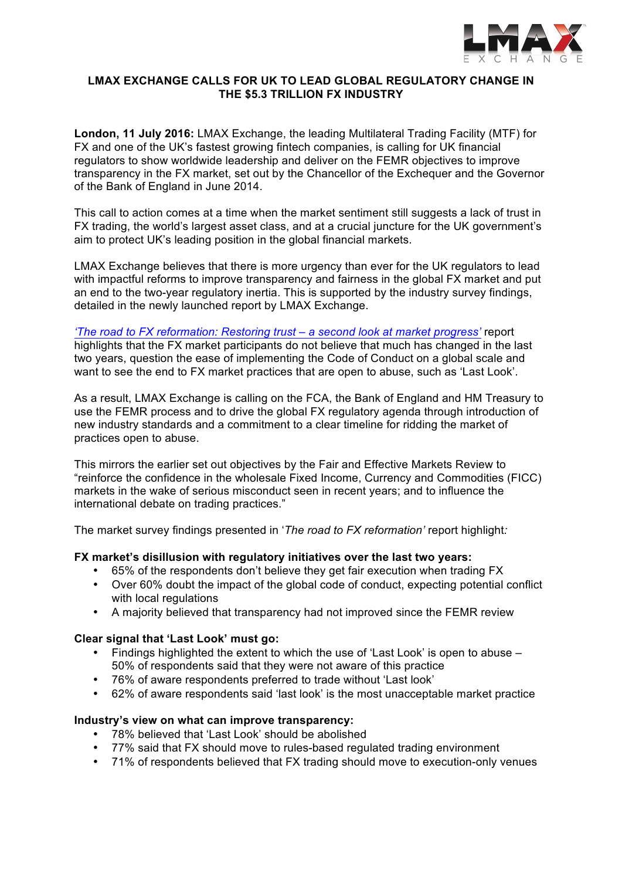

## **LMAX EXCHANGE CALLS FOR UK TO LEAD GLOBAL REGULATORY CHANGE IN THE \$5.3 TRILLION FX INDUSTRY**

**London, 11 July 2016:** LMAX Exchange, the leading Multilateral Trading Facility (MTF) for FX and one of the UK's fastest growing fintech companies, is calling for UK financial regulators to show worldwide leadership and deliver on the FEMR objectives to improve transparency in the FX market, set out by the Chancellor of the Exchequer and the Governor of the Bank of England in June 2014.

This call to action comes at a time when the market sentiment still suggests a lack of trust in FX trading, the world's largest asset class, and at a crucial juncture for the UK government's aim to protect UK's leading position in the global financial markets.

LMAX Exchange believes that there is more urgency than ever for the UK regulators to lead with impactful reforms to improve transparency and fairness in the global FX market and put an end to the two-year regulatory inertia. This is supported by the industry survey findings, detailed in the newly launched report by LMAX Exchange.

*'The road to FX reformation: Restoring trust – a second look at market progress'* report highlights that the FX market participants do not believe that much has changed in the last two years, question the ease of implementing the Code of Conduct on a global scale and want to see the end to FX market practices that are open to abuse, such as 'Last Look'.

As a result, LMAX Exchange is calling on the FCA, the Bank of England and HM Treasury to use the FEMR process and to drive the global FX regulatory agenda through introduction of new industry standards and a commitment to a clear timeline for ridding the market of practices open to abuse.

This mirrors the earlier set out objectives by the Fair and Effective Markets Review to "reinforce the confidence in the wholesale Fixed Income, Currency and Commodities (FICC) markets in the wake of serious misconduct seen in recent years; and to influence the international debate on trading practices."

The market survey findings presented in '*The road to FX reformation'* report highlight*:*

# **FX market's disillusion with regulatory initiatives over the last two years:**

- 65% of the respondents don't believe they get fair execution when trading FX
- Over 60% doubt the impact of the global code of conduct, expecting potential conflict with local regulations
- A majority believed that transparency had not improved since the FEMR review

### **Clear signal that 'Last Look' must go:**

- Findings highlighted the extent to which the use of 'Last Look' is open to abuse 50% of respondents said that they were not aware of this practice
- 76% of aware respondents preferred to trade without 'Last look'
- 62% of aware respondents said 'last look' is the most unacceptable market practice

### **Industry's view on what can improve transparency:**

- 78% believed that 'Last Look' should be abolished
- 77% said that FX should move to rules-based regulated trading environment
- 71% of respondents believed that FX trading should move to execution-only venues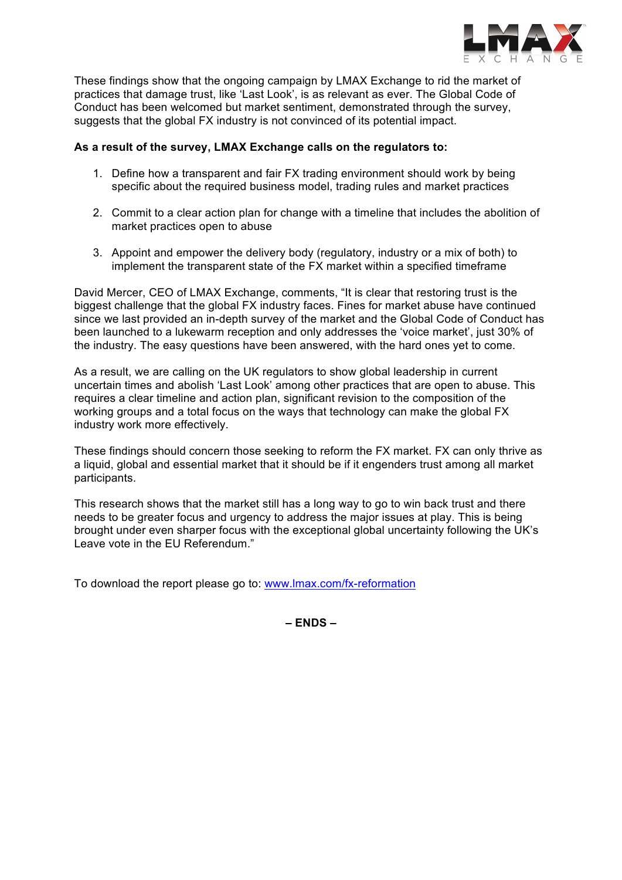

These findings show that the ongoing campaign by LMAX Exchange to rid the market of practices that damage trust, like 'Last Look', is as relevant as ever. The Global Code of Conduct has been welcomed but market sentiment, demonstrated through the survey, suggests that the global FX industry is not convinced of its potential impact.

# **As a result of the survey, LMAX Exchange calls on the regulators to:**

- 1. Define how a transparent and fair FX trading environment should work by being specific about the required business model, trading rules and market practices
- 2. Commit to a clear action plan for change with a timeline that includes the abolition of market practices open to abuse
- 3. Appoint and empower the delivery body (regulatory, industry or a mix of both) to implement the transparent state of the FX market within a specified timeframe

David Mercer, CEO of LMAX Exchange, comments, "It is clear that restoring trust is the biggest challenge that the global FX industry faces. Fines for market abuse have continued since we last provided an in-depth survey of the market and the Global Code of Conduct has been launched to a lukewarm reception and only addresses the 'voice market', just 30% of the industry. The easy questions have been answered, with the hard ones yet to come.

As a result, we are calling on the UK regulators to show global leadership in current uncertain times and abolish 'Last Look' among other practices that are open to abuse. This requires a clear timeline and action plan, significant revision to the composition of the working groups and a total focus on the ways that technology can make the global FX industry work more effectively.

These findings should concern those seeking to reform the FX market. FX can only thrive as a liquid, global and essential market that it should be if it engenders trust among all market participants.

This research shows that the market still has a long way to go to win back trust and there needs to be greater focus and urgency to address the major issues at play. This is being brought under even sharper focus with the exceptional global uncertainty following the UK's Leave vote in the EU Referendum."

To download the report please go to: www.lmax.com/fx-reformation

**– ENDS –**